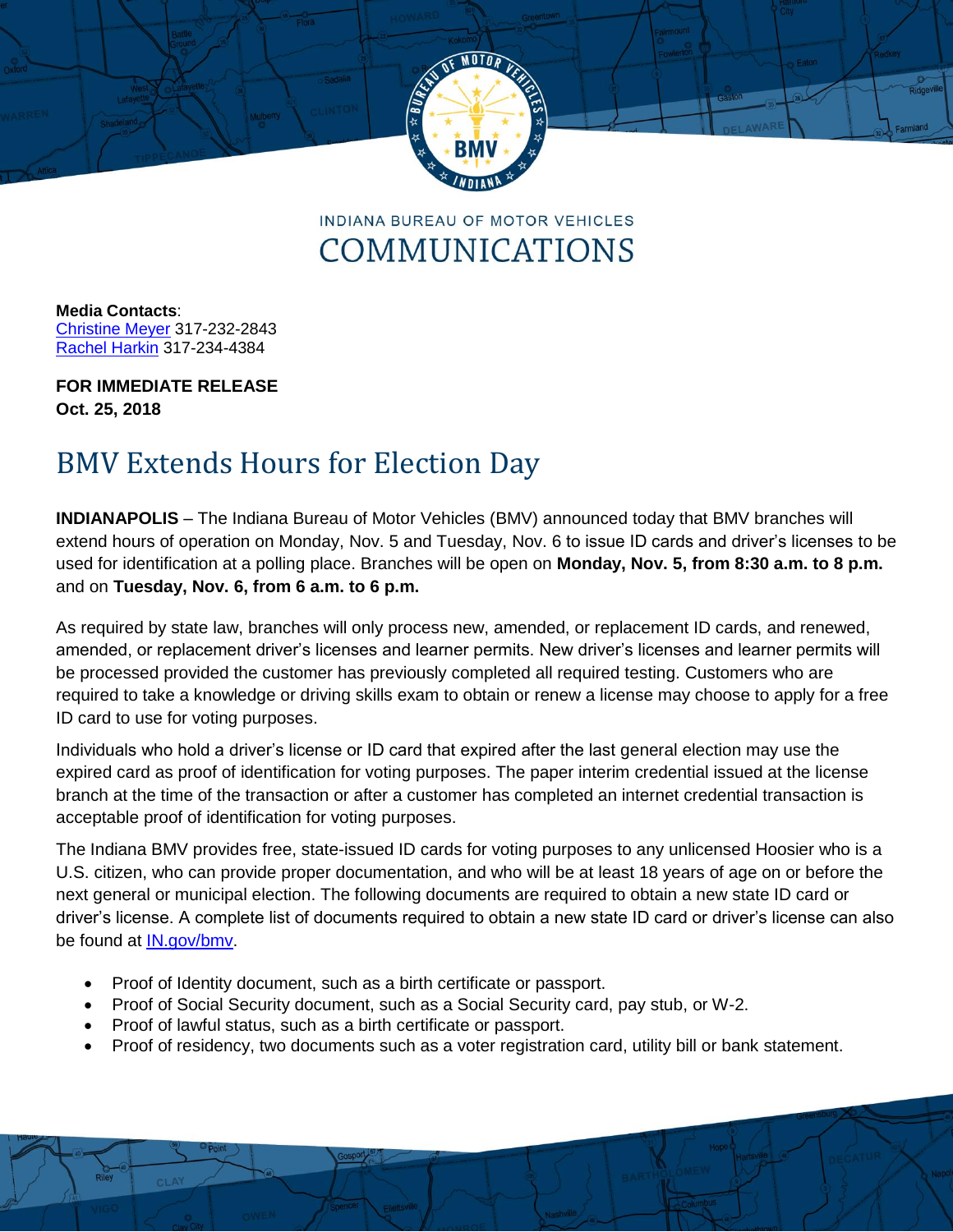

**INDIANA BUREAU OF MOTOR VEHICLES** COMMUNICATIONS

**Media Contacts**: [Christine Meyer](mailto:chmeyer@bmv.in.gov?subject=Christine%20Meyer) 317-232-2843 [Rachel Harkin](mailto:rharkin@bmv.in.gov) 317-234-4384

**FOR IMMEDIATE RELEASE Oct. 25, 2018**

## BMV Extends Hours for Election Day

**INDIANAPOLIS** – The Indiana Bureau of Motor Vehicles (BMV) announced today that BMV branches will extend hours of operation on Monday, Nov. 5 and Tuesday, Nov. 6 to issue ID cards and driver's licenses to be used for identification at a polling place. Branches will be open on **Monday, Nov. 5, from 8:30 a.m. to 8 p.m.**  and on **Tuesday, Nov. 6, from 6 a.m. to 6 p.m.** 

As required by state law, branches will only process new, amended, or replacement ID cards, and renewed, amended, or replacement driver's licenses and learner permits. New driver's licenses and learner permits will be processed provided the customer has previously completed all required testing. Customers who are required to take a knowledge or driving skills exam to obtain or renew a license may choose to apply for a free ID card to use for voting purposes.

Individuals who hold a driver's license or ID card that expired after the last general election may use the expired card as proof of identification for voting purposes. The paper interim credential issued at the license branch at the time of the transaction or after a customer has completed an internet credential transaction is acceptable proof of identification for voting purposes.

The Indiana BMV provides free, state-issued ID cards for voting purposes to any unlicensed Hoosier who is a U.S. citizen, who can provide proper documentation, and who will be at least 18 years of age on or before the next general or municipal election. The following documents are required to obtain a new state ID card or driver's license. A complete list of documents required to obtain a new state ID card or driver's license can also be found at [IN.gov/bmv.](http://www.in.gov/bmv)

- Proof of Identity document, such as a birth certificate or passport.
- Proof of Social Security document, such as a Social Security card, pay stub, or W-2.
- Proof of lawful status, such as a birth certificate or passport.
- Proof of residency, two documents such as a voter registration card, utility bill or bank statement.